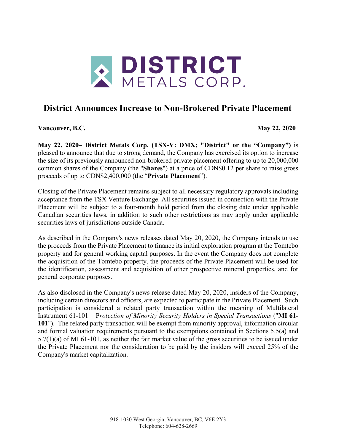

## **District Announces Increase to Non-Brokered Private Placement**

**Vancouver, B.C. May 22, 2020**

**May 22, 2020– District Metals Corp. (TSX-V: DMX; "District" or the "Company")** is pleased to announce that due to strong demand, the Company has exercised its option to increase the size of its previously announced non-brokered private placement offering to up to 20,000,000 common shares of the Company (the "**Shares**") at a price of CDN\$0.12 per share to raise gross proceeds of up to CDN\$2,400,000 (the "**Private Placement**").

Closing of the Private Placement remains subject to all necessary regulatory approvals including acceptance from the TSX Venture Exchange. All securities issued in connection with the Private Placement will be subject to a four-month hold period from the closing date under applicable Canadian securities laws, in addition to such other restrictions as may apply under applicable securities laws of jurisdictions outside Canada.

As described in the Company's news releases dated May 20, 2020, the Company intends to use the proceeds from the Private Placement to finance its initial exploration program at the Tomtebo property and for general working capital purposes. In the event the Company does not complete the acquisition of the Tomtebo property, the proceeds of the Private Placement will be used for the identification, assessment and acquisition of other prospective mineral properties, and for general corporate purposes.

As also disclosed in the Company's news release dated May 20, 2020, insiders of the Company, including certain directors and officers, are expected to participate in the Private Placement. Such participation is considered a related party transaction within the meaning of Multilateral Instrument 61-101 – P*rotection of Minority Security Holders in Special Transactions* ("**MI 61- 101**"). The related party transaction will be exempt from minority approval, information circular and formal valuation requirements pursuant to the exemptions contained in Sections 5.5(a) and 5.7(1)(a) of MI 61-101, as neither the fair market value of the gross securities to be issued under the Private Placement nor the consideration to be paid by the insiders will exceed 25% of the Company's market capitalization.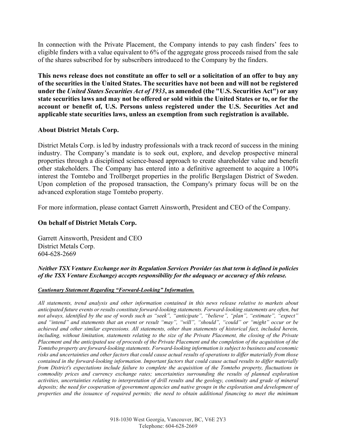In connection with the Private Placement, the Company intends to pay cash finders' fees to eligible finders with a value equivalent to 6% of the aggregate gross proceeds raised from the sale of the shares subscribed for by subscribers introduced to the Company by the finders.

**This news release does not constitute an offer to sell or a solicitation of an offer to buy any of the securities in the United States. The securities have not been and will not be registered under the** *United States Securities Act of 1933***, as amended (the "U.S. Securities Act") or any state securities laws and may not be offered or sold within the United States or to, or for the account or benefit of, U.S. Persons unless registered under the U.S. Securities Act and applicable state securities laws, unless an exemption from such registration is available.**

## **About District Metals Corp.**

District Metals Corp. is led by industry professionals with a track record of success in the mining industry. The Company's mandate is to seek out, explore, and develop prospective mineral properties through a disciplined science-based approach to create shareholder value and benefit other stakeholders. The Company has entered into a definitive agreement to acquire a 100% interest the Tomtebo and Trollberget properties in the prolific Bergslagen District of Sweden. Upon completion of the proposed transaction, the Company's primary focus will be on the advanced exploration stage Tomtebo property.

For more information, please contact Garrett Ainsworth, President and CEO of the Company.

## **On behalf of District Metals Corp.**

Garrett Ainsworth, President and CEO District Metals Corp. 604-628-2669

*Neither TSX Venture Exchange nor its Regulation Services Provider (as that term is defined in policies of the TSX Venture Exchange) accepts responsibility for the adequacy or accuracy of this release.*

## *Cautionary Statement Regarding "Forward-Looking" Information.*

*All statements, trend analysis and other information contained in this news release relative to markets about anticipated future events or results constitute forward-looking statements. Forward-looking statements are often, but not always, identified by the use of words such as "seek", "anticipate", "believe", "plan", "estimate", "expect" and "intend" and statements that an event or result "may", "will", "should", "could" or "might" occur or be achieved and other similar expressions. All statements, other than statements of historical fact, included herein, including, without limitation, statements relating to the size of the Private Placement, the closing of the Private Placement and the anticipated use of proceeds of the Private Placement and the completion of the acquisition of the Tomtebo property are forward-looking statements. Forward-looking information is subject to business and economic risks and uncertainties and other factors that could cause actual results of operations to differ materially from those contained in the forward-looking information. Important factors that could cause actual results to differ materially from District's expectations include failure to complete the acquisition of the Tomtebo property, fluctuations in commodity prices and currency exchange rates; uncertainties surrounding the results of planned exploration activities, uncertainties relating to interpretation of drill results and the geology, continuity and grade of mineral*  deposits; the need for cooperation of government agencies and native groups in the exploration and development of *properties and the issuance of required permits; the need to obtain additional financing to meet the minimum*